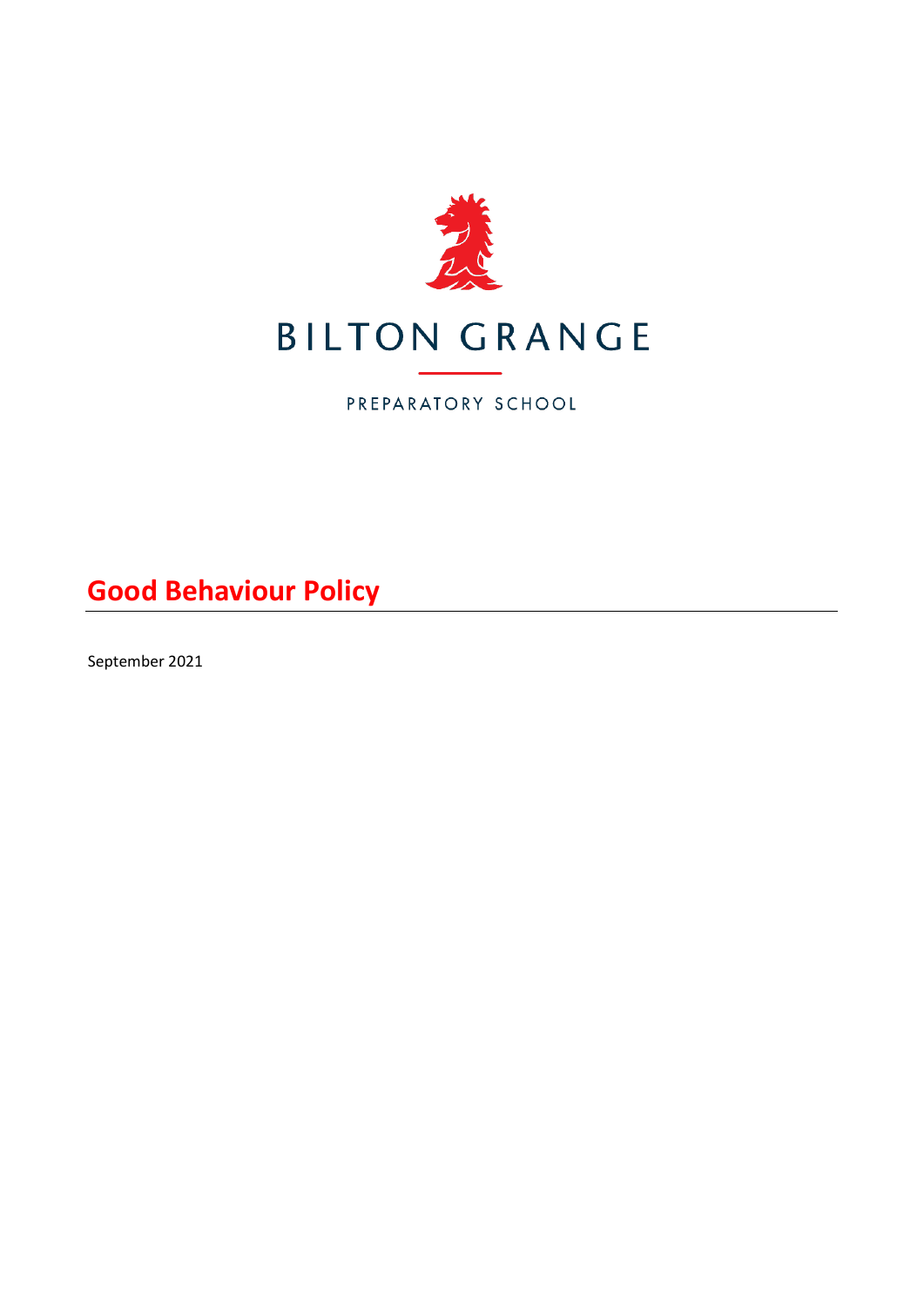

PREPARATORY SCHOOL

**Good Behaviour Policy**

September 2021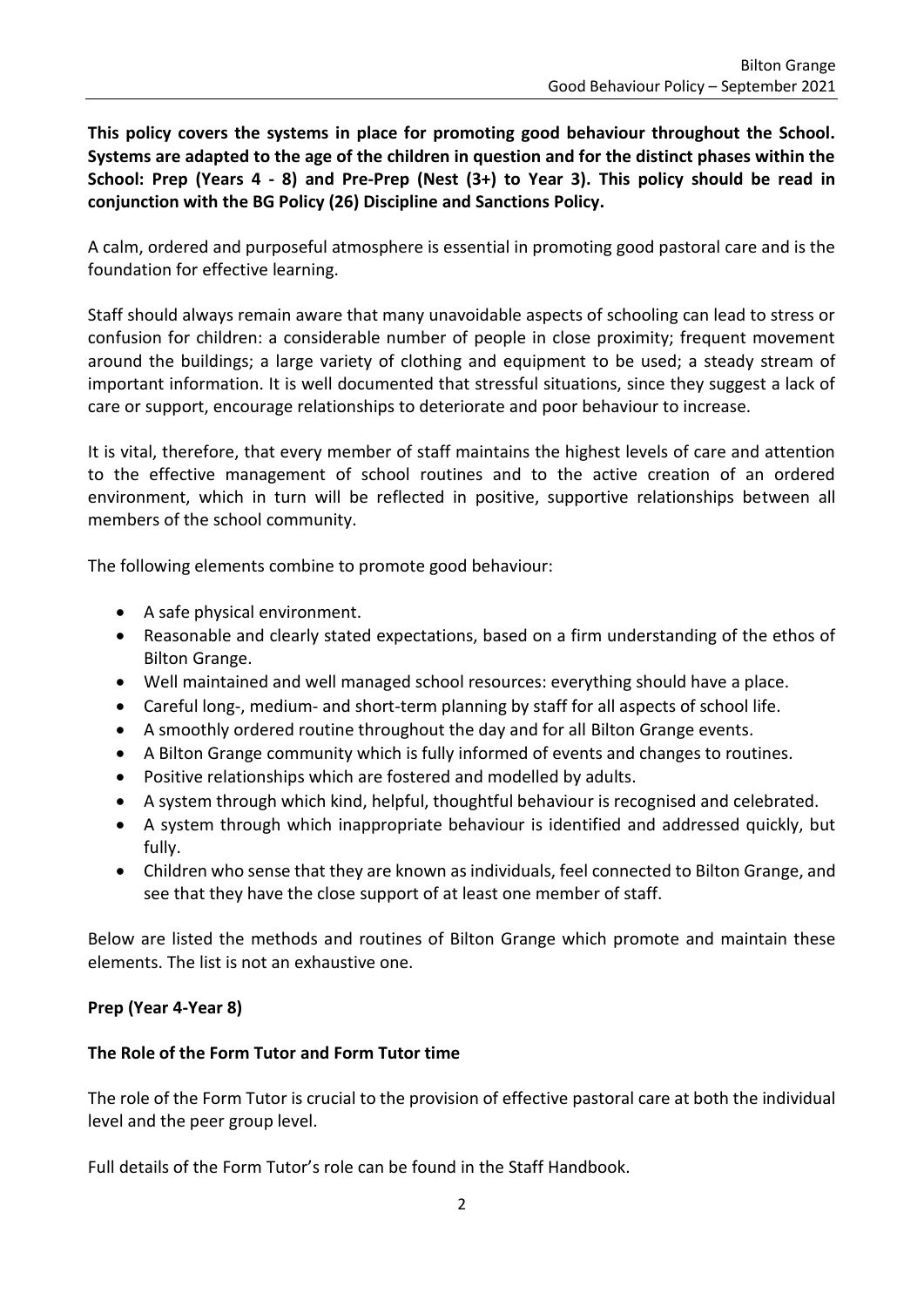**This policy covers the systems in place for promoting good behaviour throughout the School. Systems are adapted to the age of the children in question and for the distinct phases within the School: Prep (Years 4 - 8) and Pre-Prep (Nest (3+) to Year 3). This policy should be read in conjunction with the BG Policy (26) Discipline and Sanctions Policy.**

A calm, ordered and purposeful atmosphere is essential in promoting good pastoral care and is the foundation for effective learning.

Staff should always remain aware that many unavoidable aspects of schooling can lead to stress or confusion for children: a considerable number of people in close proximity; frequent movement around the buildings; a large variety of clothing and equipment to be used; a steady stream of important information. It is well documented that stressful situations, since they suggest a lack of care or support, encourage relationships to deteriorate and poor behaviour to increase.

It is vital, therefore, that every member of staff maintains the highest levels of care and attention to the effective management of school routines and to the active creation of an ordered environment, which in turn will be reflected in positive, supportive relationships between all members of the school community.

The following elements combine to promote good behaviour:

- A safe physical environment.
- Reasonable and clearly stated expectations, based on a firm understanding of the ethos of Bilton Grange.
- Well maintained and well managed school resources: everything should have a place.
- Careful long-, medium- and short-term planning by staff for all aspects of school life.
- A smoothly ordered routine throughout the day and for all Bilton Grange events.
- A Bilton Grange community which is fully informed of events and changes to routines.
- Positive relationships which are fostered and modelled by adults.
- A system through which kind, helpful, thoughtful behaviour is recognised and celebrated.
- A system through which inappropriate behaviour is identified and addressed quickly, but fully.
- Children who sense that they are known as individuals, feel connected to Bilton Grange, and see that they have the close support of at least one member of staff.

Below are listed the methods and routines of Bilton Grange which promote and maintain these elements. The list is not an exhaustive one.

# **Prep (Year 4-Year 8)**

# **The Role of the Form Tutor and Form Tutor time**

The role of the Form Tutor is crucial to the provision of effective pastoral care at both the individual level and the peer group level.

Full details of the Form Tutor's role can be found in the Staff Handbook.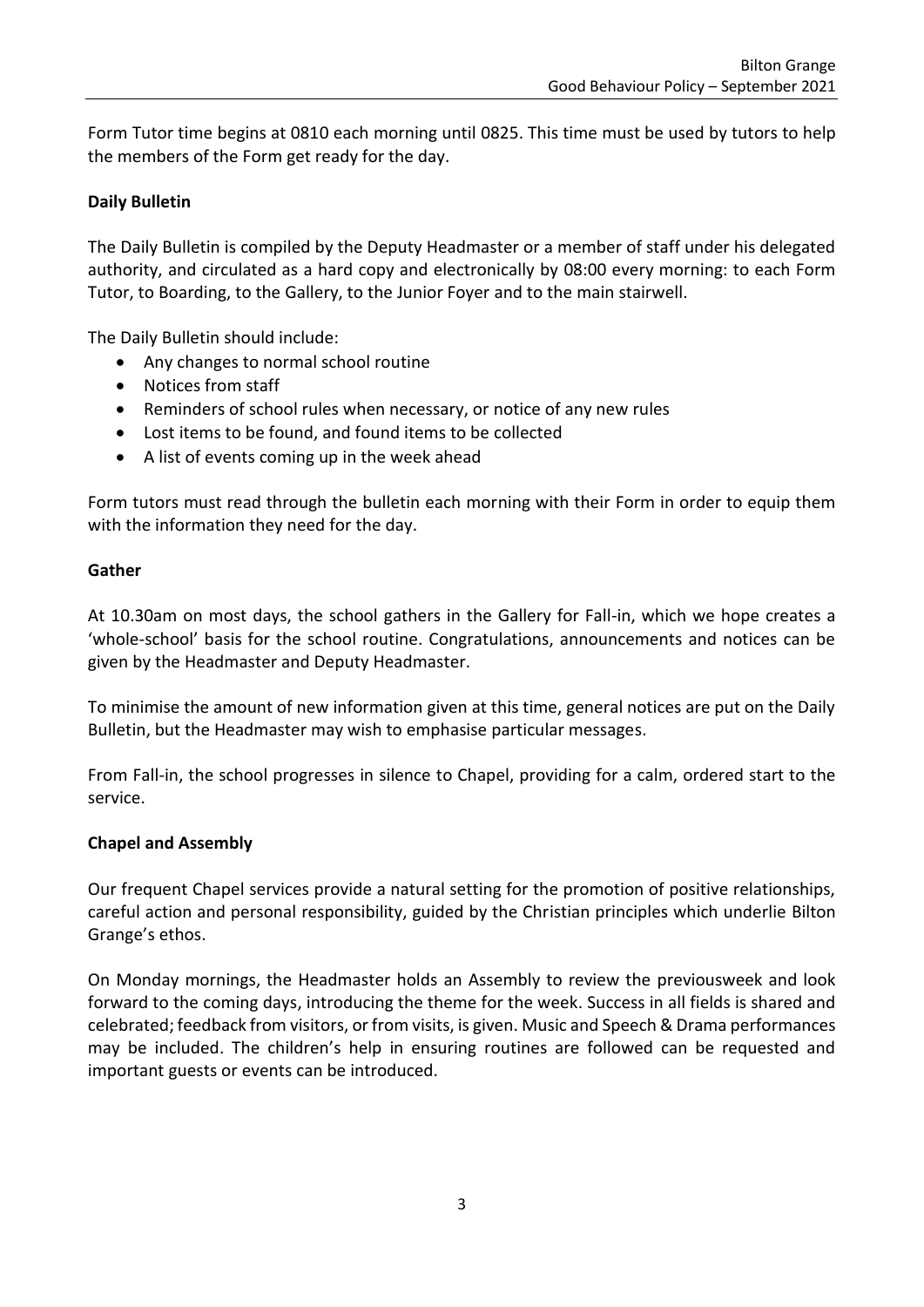Form Tutor time begins at 0810 each morning until 0825. This time must be used by tutors to help the members of the Form get ready for the day.

# **Daily Bulletin**

The Daily Bulletin is compiled by the Deputy Headmaster or a member of staff under his delegated authority, and circulated as a hard copy and electronically by 08:00 every morning: to each Form Tutor, to Boarding, to the Gallery, to the Junior Foyer and to the main stairwell.

The Daily Bulletin should include:

- Any changes to normal school routine
- Notices from staff
- Reminders of school rules when necessary, or notice of any new rules
- Lost items to be found, and found items to be collected
- A list of events coming up in the week ahead

Form tutors must read through the bulletin each morning with their Form in order to equip them with the information they need for the day.

#### **Gather**

At 10.30am on most days, the school gathers in the Gallery for Fall-in, which we hope creates a 'whole-school' basis for the school routine. Congratulations, announcements and notices can be given by the Headmaster and Deputy Headmaster.

To minimise the amount of new information given at this time, general notices are put on the Daily Bulletin, but the Headmaster may wish to emphasise particular messages.

From Fall-in, the school progresses in silence to Chapel, providing for a calm, ordered start to the service.

### **Chapel and Assembly**

Our frequent Chapel services provide a natural setting for the promotion of positive relationships, careful action and personal responsibility, guided by the Christian principles which underlie Bilton Grange's ethos.

On Monday mornings, the Headmaster holds an Assembly to review the previousweek and look forward to the coming days, introducing the theme for the week. Success in all fields is shared and celebrated; feedback from visitors, or from visits, is given. Music and Speech & Drama performances may be included. The children's help in ensuring routines are followed can be requested and important guests or events can be introduced.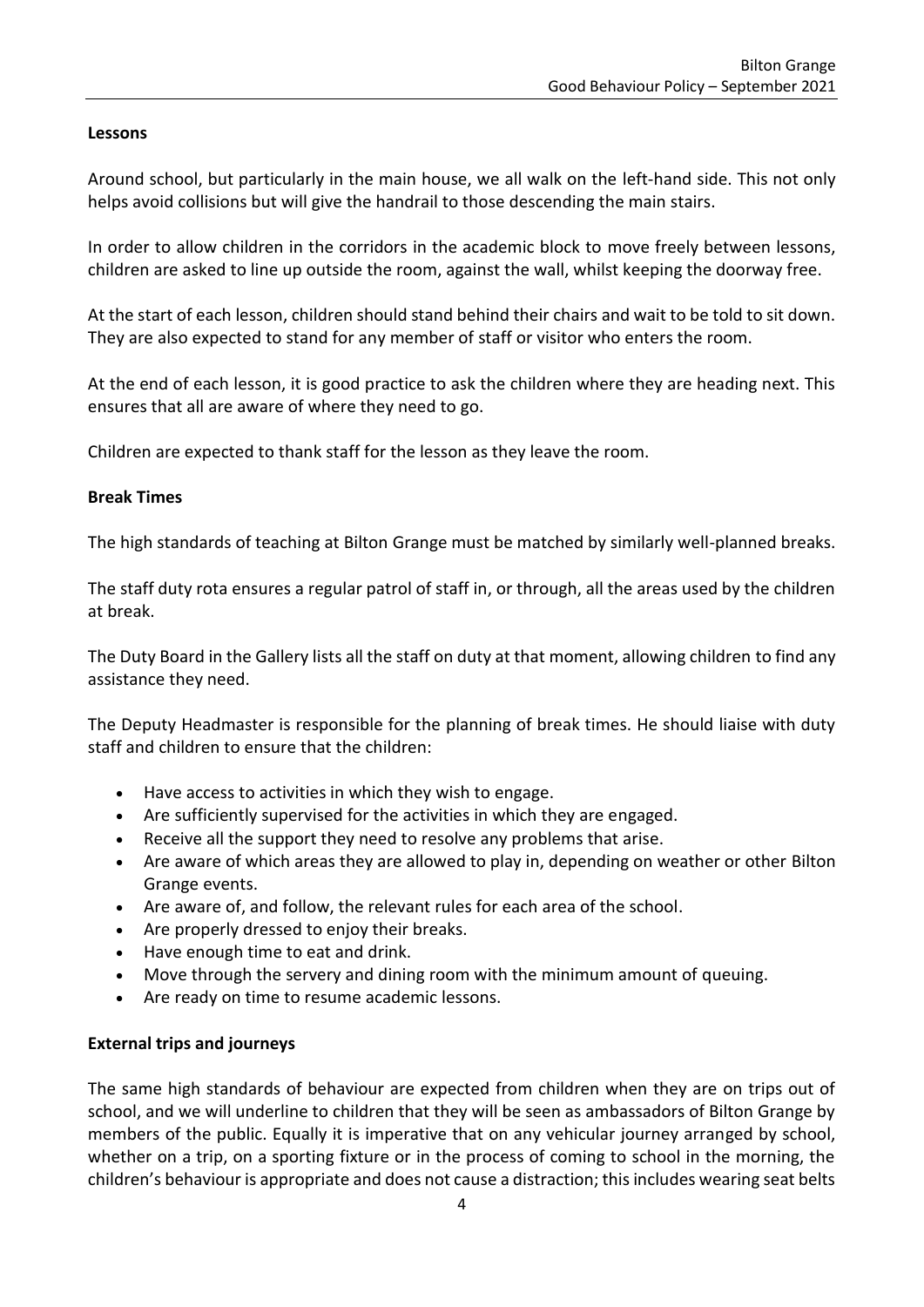### **Lessons**

Around school, but particularly in the main house, we all walk on the left-hand side. This not only helps avoid collisions but will give the handrail to those descending the main stairs.

In order to allow children in the corridors in the academic block to move freely between lessons, children are asked to line up outside the room, against the wall, whilst keeping the doorway free.

At the start of each lesson, children should stand behind their chairs and wait to be told to sit down. They are also expected to stand for any member of staff or visitor who enters the room.

At the end of each lesson, it is good practice to ask the children where they are heading next. This ensures that all are aware of where they need to go.

Children are expected to thank staff for the lesson as they leave the room.

### **Break Times**

The high standards of teaching at Bilton Grange must be matched by similarly well-planned breaks.

The staff duty rota ensures a regular patrol of staff in, or through, all the areas used by the children at break.

The Duty Board in the Gallery lists all the staff on duty at that moment, allowing children to find any assistance they need.

The Deputy Headmaster is responsible for the planning of break times. He should liaise with duty staff and children to ensure that the children:

- Have access to activities in which they wish to engage.
- Are sufficiently supervised for the activities in which they are engaged.
- Receive all the support they need to resolve any problems that arise.
- Are aware of which areas they are allowed to play in, depending on weather or other Bilton Grange events.
- Are aware of, and follow, the relevant rules for each area of the school.
- Are properly dressed to enjoy their breaks.
- Have enough time to eat and drink.
- Move through the servery and dining room with the minimum amount of queuing.
- Are ready on time to resume academic lessons.

### **External trips and journeys**

The same high standards of behaviour are expected from children when they are on trips out of school, and we will underline to children that they will be seen as ambassadors of Bilton Grange by members of the public. Equally it is imperative that on any vehicular journey arranged by school, whether on a trip, on a sporting fixture or in the process of coming to school in the morning, the children's behaviour is appropriate and does not cause a distraction; this includes wearing seat belts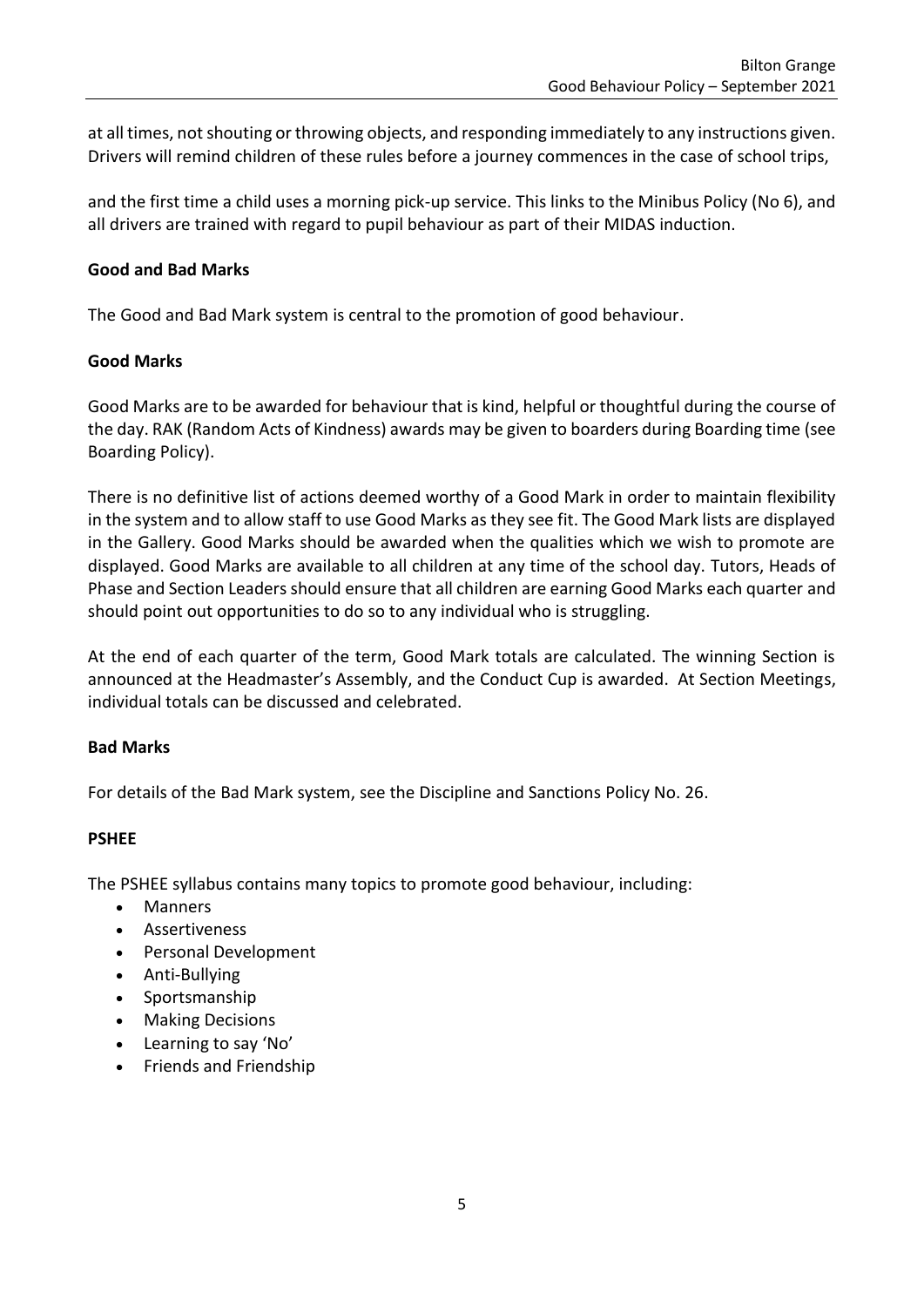at all times, not shouting or throwing objects, and responding immediately to any instructions given. Drivers will remind children of these rules before a journey commences in the case of school trips,

and the first time a child uses a morning pick-up service. This links to the Minibus Policy (No 6), and all drivers are trained with regard to pupil behaviour as part of their MIDAS induction.

### **Good and Bad Marks**

The Good and Bad Mark system is central to the promotion of good behaviour.

### **Good Marks**

Good Marks are to be awarded for behaviour that is kind, helpful or thoughtful during the course of the day. RAK (Random Acts of Kindness) awards may be given to boarders during Boarding time (see Boarding Policy).

There is no definitive list of actions deemed worthy of a Good Mark in order to maintain flexibility in the system and to allow staff to use Good Marks as they see fit. The Good Mark lists are displayed in the Gallery. Good Marks should be awarded when the qualities which we wish to promote are displayed. Good Marks are available to all children at any time of the school day. Tutors, Heads of Phase and Section Leaders should ensure that all children are earning Good Marks each quarter and should point out opportunities to do so to any individual who is struggling.

At the end of each quarter of the term, Good Mark totals are calculated. The winning Section is announced at the Headmaster's Assembly, and the Conduct Cup is awarded. At Section Meetings, individual totals can be discussed and celebrated.

### **Bad Marks**

For details of the Bad Mark system, see the Discipline and Sanctions Policy No. 26.

### **PSHEE**

The PSHEE syllabus contains many topics to promote good behaviour, including:

- Manners
- Assertiveness
- Personal Development
- Anti-Bullying
- Sportsmanship
- Making Decisions
- Learning to say 'No'
- Friends and Friendship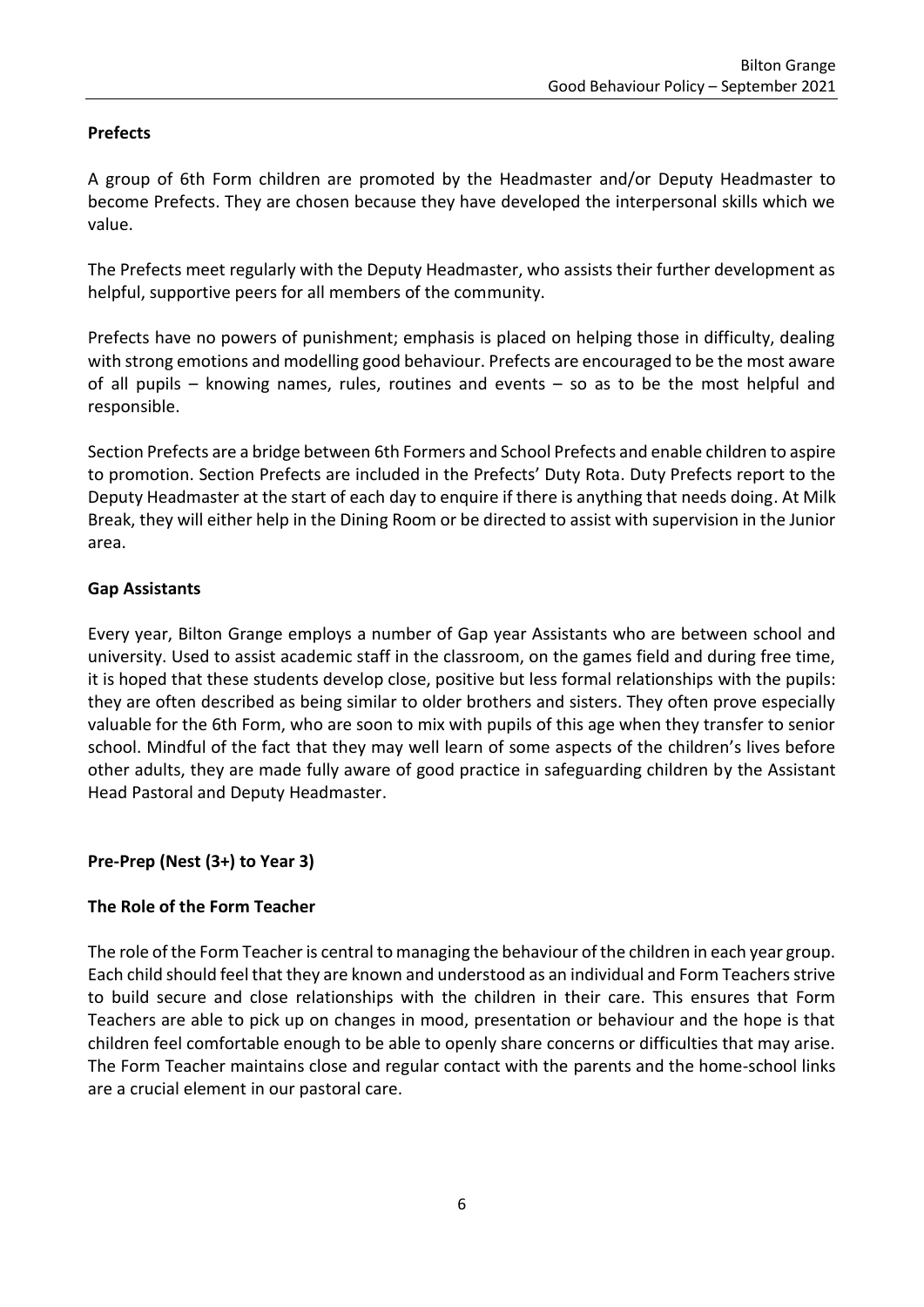# **Prefects**

A group of 6th Form children are promoted by the Headmaster and/or Deputy Headmaster to become Prefects. They are chosen because they have developed the interpersonal skills which we value.

The Prefects meet regularly with the Deputy Headmaster, who assists their further development as helpful, supportive peers for all members of the community.

Prefects have no powers of punishment; emphasis is placed on helping those in difficulty, dealing with strong emotions and modelling good behaviour. Prefects are encouraged to be the most aware of all pupils – knowing names, rules, routines and events – so as to be the most helpful and responsible.

Section Prefects are a bridge between 6th Formers and School Prefects and enable children to aspire to promotion. Section Prefects are included in the Prefects' Duty Rota. Duty Prefects report to the Deputy Headmaster at the start of each day to enquire if there is anything that needs doing. At Milk Break, they will either help in the Dining Room or be directed to assist with supervision in the Junior area.

# **Gap Assistants**

Every year, Bilton Grange employs a number of Gap year Assistants who are between school and university. Used to assist academic staff in the classroom, on the games field and during free time, it is hoped that these students develop close, positive but less formal relationships with the pupils: they are often described as being similar to older brothers and sisters. They often prove especially valuable for the 6th Form, who are soon to mix with pupils of this age when they transfer to senior school. Mindful of the fact that they may well learn of some aspects of the children's lives before other adults, they are made fully aware of good practice in safeguarding children by the Assistant Head Pastoral and Deputy Headmaster.

# **Pre-Prep (Nest (3+) to Year 3)**

# **The Role of the Form Teacher**

The role of the Form Teacher is central to managing the behaviour of the children in each year group. Each child should feel that they are known and understood as an individual and Form Teachers strive to build secure and close relationships with the children in their care. This ensures that Form Teachers are able to pick up on changes in mood, presentation or behaviour and the hope is that children feel comfortable enough to be able to openly share concerns or difficulties that may arise. The Form Teacher maintains close and regular contact with the parents and the home-school links are a crucial element in our pastoral care.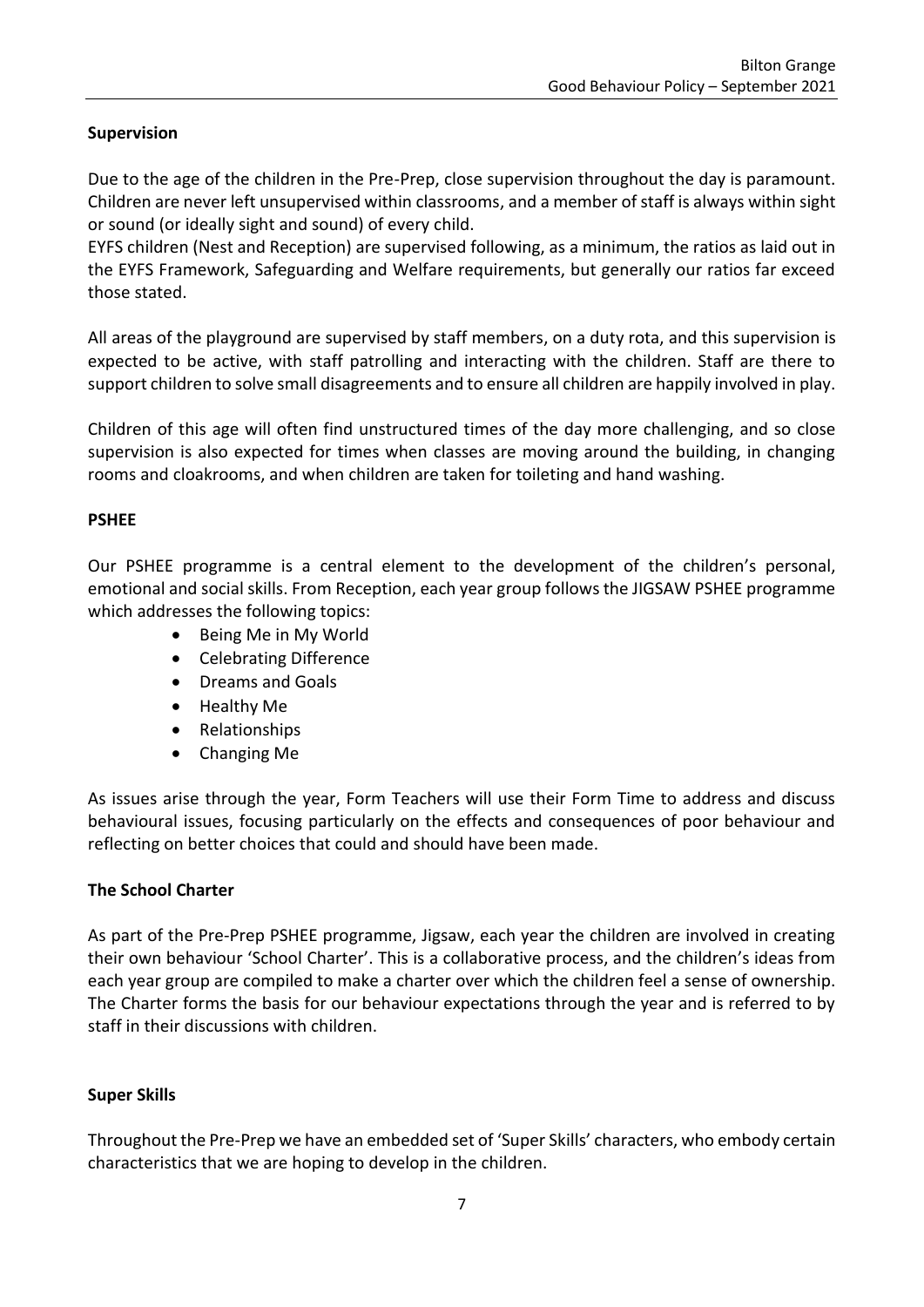# **Supervision**

Due to the age of the children in the Pre-Prep, close supervision throughout the day is paramount. Children are never left unsupervised within classrooms, and a member of staff is always within sight or sound (or ideally sight and sound) of every child.

EYFS children (Nest and Reception) are supervised following, as a minimum, the ratios as laid out in the EYFS Framework, Safeguarding and Welfare requirements, but generally our ratios far exceed those stated.

All areas of the playground are supervised by staff members, on a duty rota, and this supervision is expected to be active, with staff patrolling and interacting with the children. Staff are there to support children to solve small disagreements and to ensure all children are happily involved in play.

Children of this age will often find unstructured times of the day more challenging, and so close supervision is also expected for times when classes are moving around the building, in changing rooms and cloakrooms, and when children are taken for toileting and hand washing.

# **PSHEE**

Our PSHEE programme is a central element to the development of the children's personal, emotional and social skills. From Reception, each year group follows the JIGSAW PSHEE programme which addresses the following topics:

- Being Me in My World
- Celebrating Difference
- Dreams and Goals
- Healthy Me
- Relationships
- Changing Me

As issues arise through the year, Form Teachers will use their Form Time to address and discuss behavioural issues, focusing particularly on the effects and consequences of poor behaviour and reflecting on better choices that could and should have been made.

# **The School Charter**

As part of the Pre-Prep PSHEE programme, Jigsaw, each year the children are involved in creating their own behaviour 'School Charter'. This is a collaborative process, and the children's ideas from each year group are compiled to make a charter over which the children feel a sense of ownership. The Charter forms the basis for our behaviour expectations through the year and is referred to by staff in their discussions with children.

# **Super Skills**

Throughout the Pre-Prep we have an embedded set of 'Super Skills' characters, who embody certain characteristics that we are hoping to develop in the children.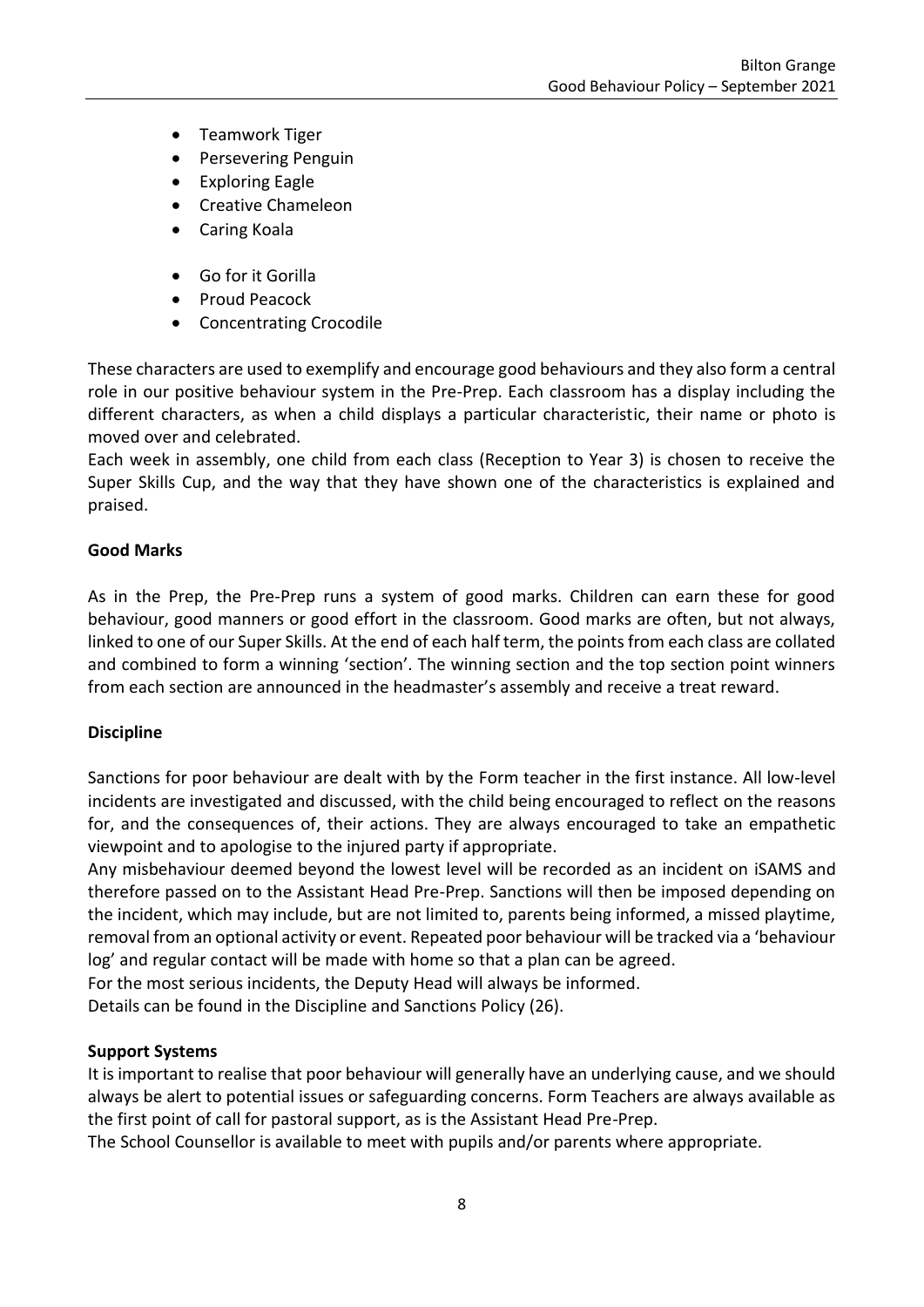- Teamwork Tiger
- Persevering Penguin
- **Exploring Eagle**
- Creative Chameleon
- Caring Koala
- Go for it Gorilla
- Proud Peacock
- Concentrating Crocodile

These characters are used to exemplify and encourage good behaviours and they also form a central role in our positive behaviour system in the Pre-Prep. Each classroom has a display including the different characters, as when a child displays a particular characteristic, their name or photo is moved over and celebrated.

Each week in assembly, one child from each class (Reception to Year 3) is chosen to receive the Super Skills Cup, and the way that they have shown one of the characteristics is explained and praised.

### **Good Marks**

As in the Prep, the Pre-Prep runs a system of good marks. Children can earn these for good behaviour, good manners or good effort in the classroom. Good marks are often, but not always, linked to one of our Super Skills. At the end of each half term, the points from each class are collated and combined to form a winning 'section'. The winning section and the top section point winners from each section are announced in the headmaster's assembly and receive a treat reward.

### **Discipline**

Sanctions for poor behaviour are dealt with by the Form teacher in the first instance. All low-level incidents are investigated and discussed, with the child being encouraged to reflect on the reasons for, and the consequences of, their actions. They are always encouraged to take an empathetic viewpoint and to apologise to the injured party if appropriate.

Any misbehaviour deemed beyond the lowest level will be recorded as an incident on iSAMS and therefore passed on to the Assistant Head Pre-Prep. Sanctions will then be imposed depending on the incident, which may include, but are not limited to, parents being informed, a missed playtime, removal from an optional activity or event. Repeated poor behaviour will be tracked via a 'behaviour log' and regular contact will be made with home so that a plan can be agreed.

For the most serious incidents, the Deputy Head will always be informed.

Details can be found in the Discipline and Sanctions Policy (26).

### **Support Systems**

It is important to realise that poor behaviour will generally have an underlying cause, and we should always be alert to potential issues or safeguarding concerns. Form Teachers are always available as the first point of call for pastoral support, as is the Assistant Head Pre-Prep.

The School Counsellor is available to meet with pupils and/or parents where appropriate.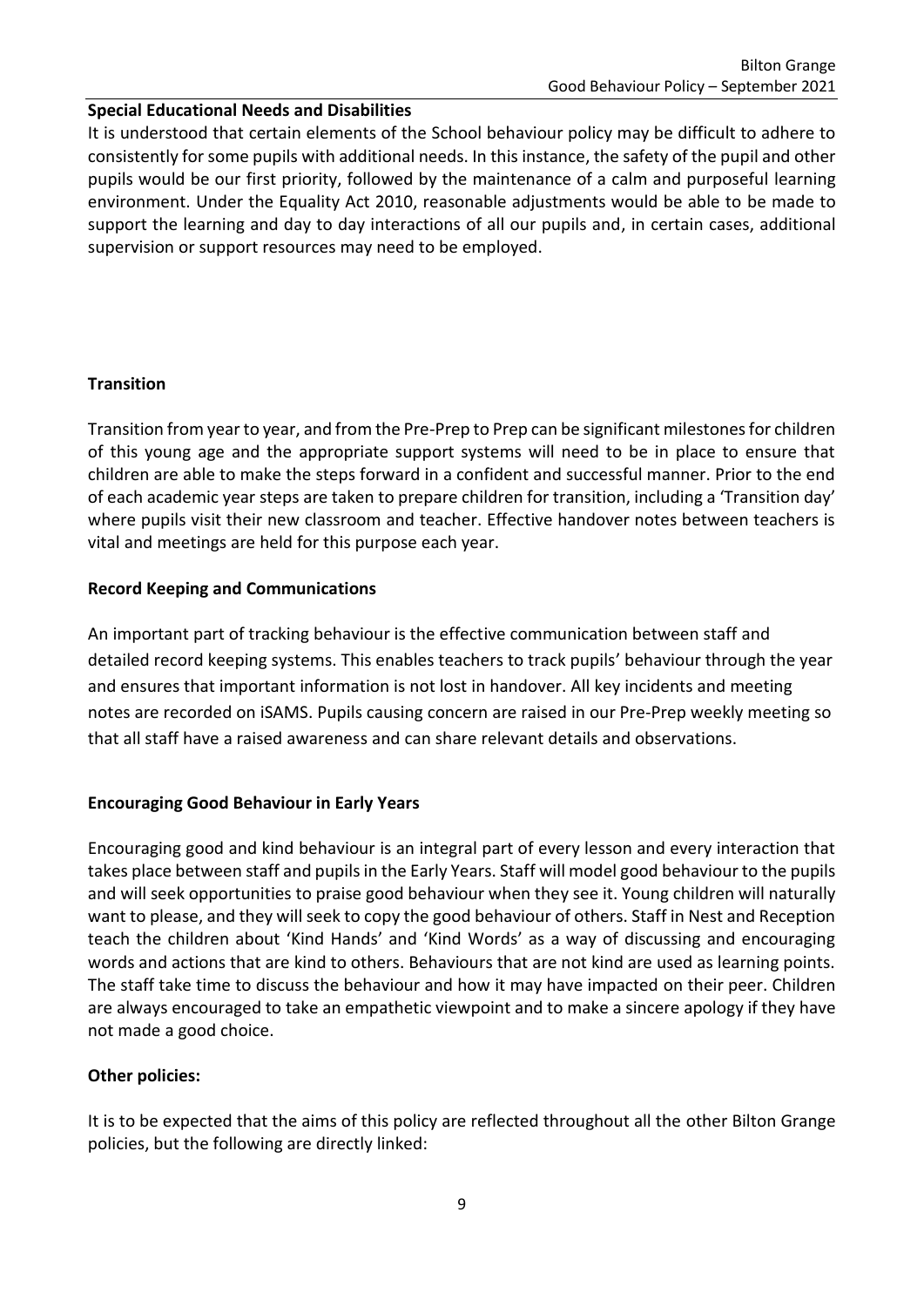### **Special Educational Needs and Disabilities**

It is understood that certain elements of the School behaviour policy may be difficult to adhere to consistently for some pupils with additional needs. In this instance, the safety of the pupil and other pupils would be our first priority, followed by the maintenance of a calm and purposeful learning environment. Under the Equality Act 2010, reasonable adjustments would be able to be made to support the learning and day to day interactions of all our pupils and, in certain cases, additional supervision or support resources may need to be employed.

### **Transition**

Transition from year to year, and from the Pre-Prep to Prep can be significant milestones for children of this young age and the appropriate support systems will need to be in place to ensure that children are able to make the steps forward in a confident and successful manner. Prior to the end of each academic year steps are taken to prepare children for transition, including a 'Transition day' where pupils visit their new classroom and teacher. Effective handover notes between teachers is vital and meetings are held for this purpose each year.

### **Record Keeping and Communications**

An important part of tracking behaviour is the effective communication between staff and detailed record keeping systems. This enables teachers to track pupils' behaviour through the year and ensures that important information is not lost in handover. All key incidents and meeting notes are recorded on iSAMS. Pupils causing concern are raised in our Pre-Prep weekly meeting so that all staff have a raised awareness and can share relevant details and observations.

### **Encouraging Good Behaviour in Early Years**

Encouraging good and kind behaviour is an integral part of every lesson and every interaction that takes place between staff and pupils in the Early Years. Staff will model good behaviour to the pupils and will seek opportunities to praise good behaviour when they see it. Young children will naturally want to please, and they will seek to copy the good behaviour of others. Staff in Nest and Reception teach the children about 'Kind Hands' and 'Kind Words' as a way of discussing and encouraging words and actions that are kind to others. Behaviours that are not kind are used as learning points. The staff take time to discuss the behaviour and how it may have impacted on their peer. Children are always encouraged to take an empathetic viewpoint and to make a sincere apology if they have not made a good choice.

### **Other policies:**

It is to be expected that the aims of this policy are reflected throughout all the other Bilton Grange policies, but the following are directly linked: